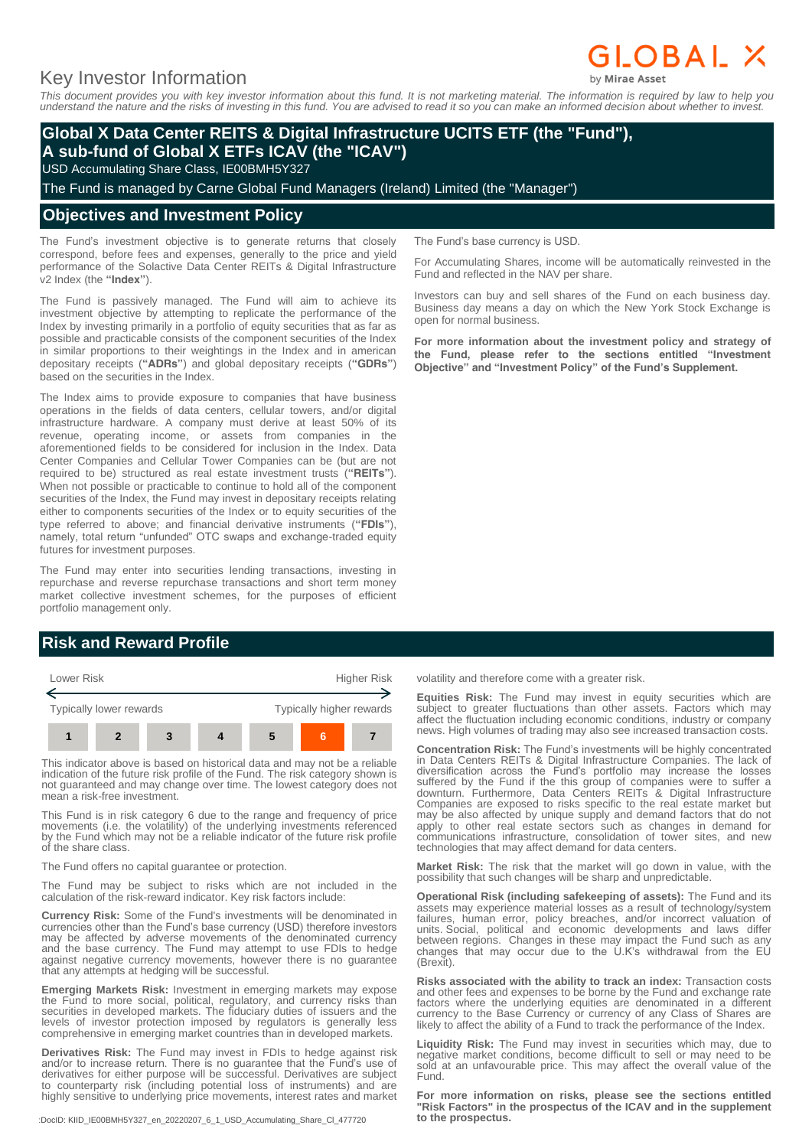# Key Investor Information

# GLOBAL X

*This document provides you with key investor information about this fund. It is not marketing material. The information is required by law to help you understand the nature and the risks of investing in this fund. You are advised to read it so you can make an informed decision about whether to invest.*

## **Global X Data Center REITS & Digital Infrastructure UCITS ETF (the "Fund"), A sub-fund of Global X ETFs ICAV (the "ICAV")**

USD Accumulating Share Class, IE00BMH5Y327

The Fund is managed by Carne Global Fund Managers (Ireland) Limited (the "Manager")

#### **Objectives and Investment Policy**

The Fund's investment objective is to generate returns that closely correspond, before fees and expenses, generally to the price and yield performance of the Solactive Data Center REITs & Digital Infrastructure v2 Index (the **"Index"**).

The Fund is passively managed. The Fund will aim to achieve its investment objective by attempting to replicate the performance of the Index by investing primarily in a portfolio of equity securities that as far as possible and practicable consists of the component securities of the Index in similar proportions to their weightings in the Index and in american depositary receipts (**"ADRs"**) and global depositary receipts (**"GDRs"**) based on the securities in the Index.

The Index aims to provide exposure to companies that have business operations in the fields of data centers, cellular towers, and/or digital infrastructure hardware. A company must derive at least 50% of its revenue, operating income, or assets from companies in the aforementioned fields to be considered for inclusion in the Index. Data Center Companies and Cellular Tower Companies can be (but are not required to be) structured as real estate investment trusts (**"REITs"**). When not possible or practicable to continue to hold all of the component securities of the Index, the Fund may invest in depositary receipts relating either to components securities of the Index or to equity securities of the type referred to above; and financial derivative instruments (**"FDIs"**), namely, total return "unfunded" OTC swaps and exchange-traded equity futures for investment purposes.

The Fund may enter into securities lending transactions, investing in repurchase and reverse repurchase transactions and short term money market collective investment schemes, for the purposes of efficient portfolio management only.

## **Risk and Reward Profile**



This indicator above is based on historical data and may not be a reliable indication of the future risk profile of the Fund. The risk category shown is not guaranteed and may change over time. The lowest category does not mean a risk-free investment.

This Fund is in risk category 6 due to the range and frequency of price movements (i.e. the volatility) of the underlying investments referenced by the Fund which may not be a reliable indicator of the future risk profile of the share class.

The Fund offers no capital guarantee or protection.

The Fund may be subject to risks which are not included in the calculation of the risk-reward indicator. Key risk factors include:

**Currency Risk:** Some of the Fund's investments will be denominated in currencies other than the Fund's base currency (USD) therefore investors may be affected by adverse movements of the denominated currency and the base currency. The Fund may attempt to use FDIs to hedge against negative currency movements, however there is no guarantee that any attempts at hedging will be successful.

**Emerging Markets Risk:** Investment in emerging markets may expose the Fund to more social, political, regulatory, and currency risks than securities in developed markets. The fiduciary duties of issuers and the levels of investor protection imposed by regulators is generally less comprehensive in emerging market countries than in developed markets.

**Derivatives Risk:** The Fund may invest in FDIs to hedge against risk and/or to increase return. There is no guarantee that the Fund's use of derivatives for either purpose will be successful. Derivatives are subject to counterparty risk (including potential loss of instruments) and are highly sensitive to underlying price movements, interest rates and market

:DocID: KIID\_IE00BMH5Y327\_en\_20220207\_6\_1\_USD\_Accumulating\_Share\_Cl\_477720

The Fund's base currency is USD.

For Accumulating Shares, income will be automatically reinvested in the Fund and reflected in the NAV per share.

Investors can buy and sell shares of the Fund on each business day. Business day means a day on which the New York Stock Exchange is open for normal business.

**For more information about the investment policy and strategy of the Fund, please refer to the sections entitled "Investment Objective" and "Investment Policy" of the Fund's Supplement.**

volatility and therefore come with a greater risk.

**Equities Risk:** The Fund may invest in equity securities which are subject to greater fluctuations than other assets. Factors which may affect the fluctuation including economic conditions, industry or company news. High volumes of trading may also see increased transaction costs.

**Concentration Risk:** The Fund's investments will be highly concentrated in Data Centers REITs & Digital Infrastructure Companies. The lack of diversification across the Fund's portfolio may increase the losses suffered by the Fund if the this group of companies were to suffer a downturn. Furthermore, Data Centers REITs & Digital Infrastructure Companies are exposed to risks specific to the real estate market but may be also affected by unique supply and demand factors that do not apply to other real estate sectors such as changes in demand for communications infrastructure, consolidation of tower sites, and new technologies that may affect demand for data centers.

**Market Risk:** The risk that the market will go down in value, with the possibility that such changes will be sharp and unpredictable.

**Operational Risk (including safekeeping of assets):** The Fund and its assets may experience material losses as a result of technology/system failures, human error, policy breaches, and/or incorrect valuation of units. Social, political and economic developments and laws differ between regions. Changes in these may impact the Fund such as any changes that may occur due to the U.K's withdrawal from the EU (Brexit).

**Risks associated with the ability to track an index:** Transaction costs and other fees and expenses to be borne by the Fund and exchange rate factors where the underlying equities are denominated in a different currency to the Base Currency or currency of any Class of Shares are likely to affect the ability of a Fund to track the performance of the Index.

**Liquidity Risk:** The Fund may invest in securities which may, due to negative market conditions, become difficult to sell or may need to be sold at an unfavourable price. This may affect the overall value of the Fund.

**For more information on risks, please see the sections entitled "Risk Factors" in the prospectus of the ICAV and in the supplement to the prospectus.**